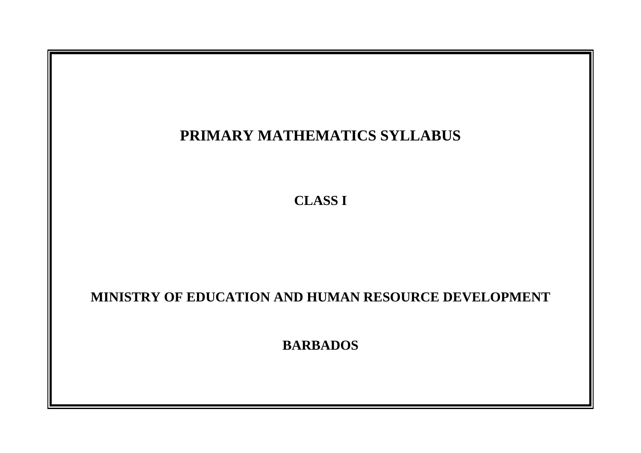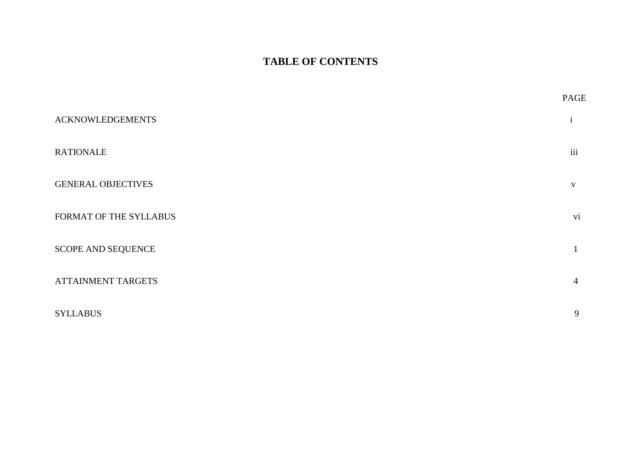# **TABLE OF CONTENTS**

|                           | PAGE |
|---------------------------|------|
| <b>ACKNOWLEDGEMENTS</b>   | 1    |
| <b>RATIONALE</b>          | iii  |
| <b>GENERAL OBJECTIVES</b> | V    |
| FORMAT OF THE SYLLABUS    | vi   |
| SCOPE AND SEQUENCE        |      |
| <b>ATTAINMENT TARGETS</b> | 4    |
| <b>SYLLABUS</b>           | 9    |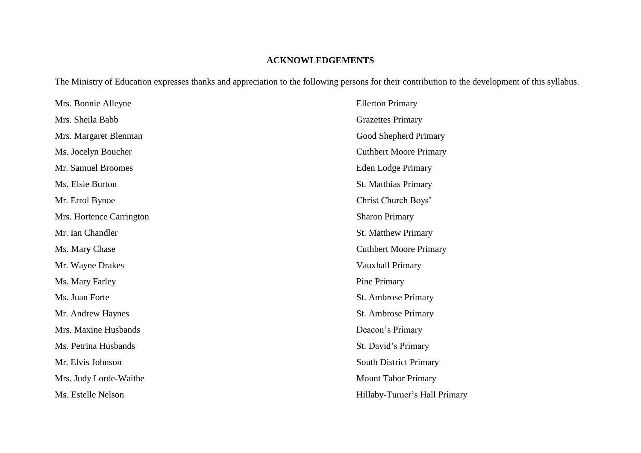## **ACKNOWLEDGEMENTS**

The Ministry of Education expresses thanks and appreciation to the following persons for their contribution to the development of this syllabus.

| Mrs. Bonnie Alleyne      | <b>Ellerton Primary</b>       |
|--------------------------|-------------------------------|
| Mrs. Sheila Babb         | <b>Grazettes Primary</b>      |
| Mrs. Margaret Blenman    | Good Shepherd Primary         |
| Ms. Jocelyn Boucher      | <b>Cuthbert Moore Primary</b> |
| Mr. Samuel Broomes       | <b>Eden Lodge Primary</b>     |
| Ms. Elsie Burton         | <b>St. Matthias Primary</b>   |
| Mr. Errol Bynoe          | Christ Church Boys'           |
| Mrs. Hortence Carrington | <b>Sharon Primary</b>         |
| Mr. Ian Chandler         | <b>St. Matthew Primary</b>    |
| Ms. Mary Chase           | <b>Cuthbert Moore Primary</b> |
| Mr. Wayne Drakes         | Vauxhall Primary              |
| Ms. Mary Farley          | Pine Primary                  |
| Ms. Juan Forte           | St. Ambrose Primary           |
| Mr. Andrew Haynes        | St. Ambrose Primary           |
| Mrs. Maxine Husbands     | Deacon's Primary              |
| Ms. Petrina Husbands     | St. David's Primary           |
| Mr. Elvis Johnson        | <b>South District Primary</b> |
| Mrs. Judy Lorde-Waithe   | <b>Mount Tabor Primary</b>    |
| Ms. Estelle Nelson       | Hillaby-Turner's Hall Primary |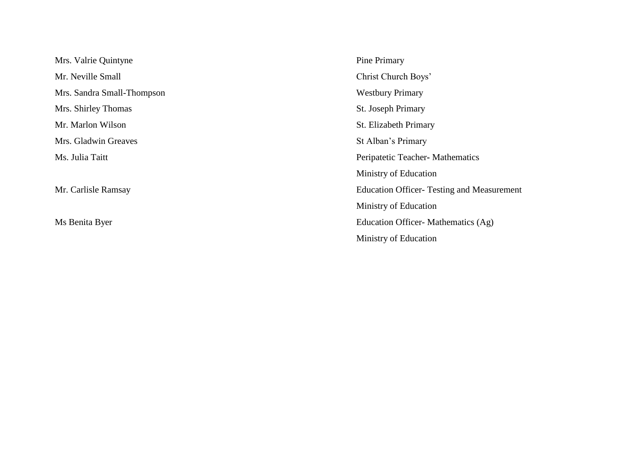Mrs. Valrie Quintyne Pine Primary Mr. Neville Small Christ Church Boys' Mrs. Sandra Small-Thompson Westbury Primary Mrs. Shirley Thomas St. Joseph Primary Mr. Marlon Wilson St. Elizabeth Primary Mrs. Gladwin Greaves St Alban's Primary

Ms. Julia Taitt Peripatetic Teacher**-** Mathematics Ministry of Education Mr. Carlisle Ramsay Education Officer- Testing and Measurement Ministry of Education Ms Benita Byer Education Officer- Mathematics (Ag) Ministry of Education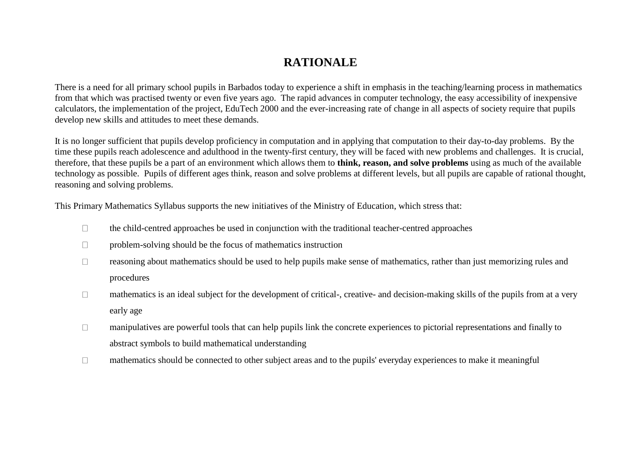# **RATIONALE**

There is a need for all primary school pupils in Barbados today to experience a shift in emphasis in the teaching/learning process in mathematics from that which was practised twenty or even five years ago. The rapid advances in computer technology, the easy accessibility of inexpensive calculators, the implementation of the project, EduTech 2000 and the ever-increasing rate of change in all aspects of society require that pupils develop new skills and attitudes to meet these demands.

It is no longer sufficient that pupils develop proficiency in computation and in applying that computation to their day-to-day problems. By the time these pupils reach adolescence and adulthood in the twenty-first century, they will be faced with new problems and challenges. It is crucial, therefore, that these pupils be a part of an environment which allows them to **think, reason, and solve problems** using as much of the available technology as possible. Pupils of different ages think, reason and solve problems at different levels, but all pupils are capable of rational thought, reasoning and solving problems.

This Primary Mathematics Syllabus supports the new initiatives of the Ministry of Education, which stress that:

- the child-centred approaches be used in conjunction with the traditional teacher-centred approaches  $\Box$
- $\Box$ problem-solving should be the focus of mathematics instruction
- reasoning about mathematics should be used to help pupils make sense of mathematics, rather than just memorizing rules and  $\Box$ procedures
- mathematics is an ideal subject for the development of critical-, creative- and decision-making skills of the pupils from at a very  $\Box$ early age
- manipulatives are powerful tools that can help pupils link the concrete experiences to pictorial representations and finally to  $\Box$ abstract symbols to build mathematical understanding
- mathematics should be connected to other subject areas and to the pupils' everyday experiences to make it meaningful $\Box$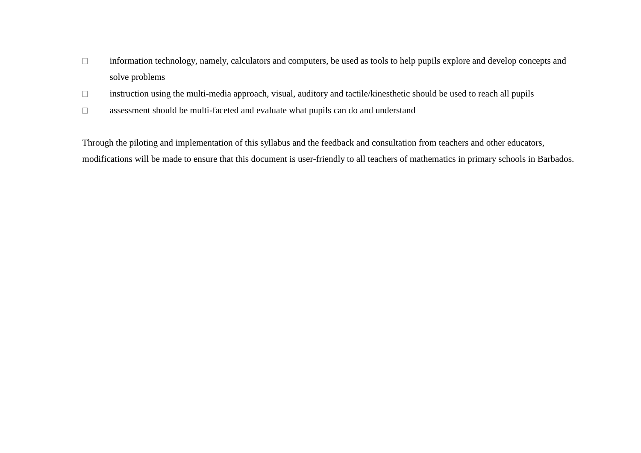- $\Box$ information technology, namely, calculators and computers, be used as tools to help pupils explore and develop concepts and solve problems
- $\Box$ instruction using the multi-media approach, visual, auditory and tactile/kinesthetic should be used to reach all pupils
- $\Box$ assessment should be multi-faceted and evaluate what pupils can do and understand

Through the piloting and implementation of this syllabus and the feedback and consultation from teachers and other educators, modifications will be made to ensure that this document is user-friendly to all teachers of mathematics in primary schools in Barbados.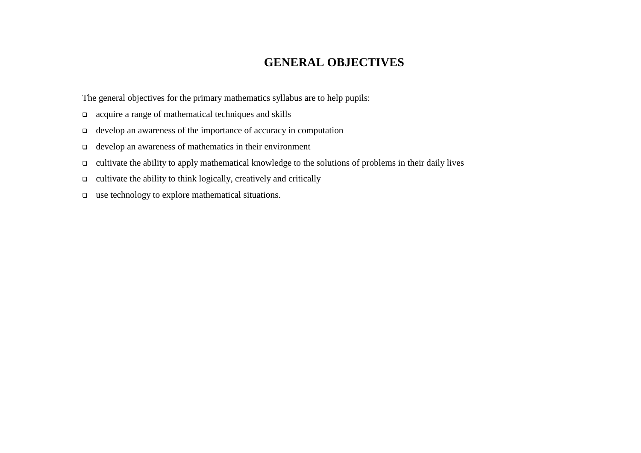# **GENERAL OBJECTIVES**

The general objectives for the primary mathematics syllabus are to help pupils:

- acquire a range of mathematical techniques and skills
- develop an awareness of the importance of accuracy in computation
- develop an awareness of mathematics in their environment
- cultivate the ability to apply mathematical knowledge to the solutions of problems in their daily lives
- $\Box$  cultivate the ability to think logically, creatively and critically
- use technology to explore mathematical situations.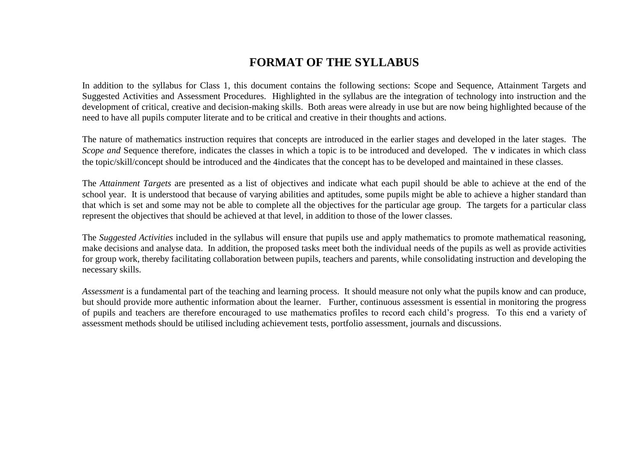# **FORMAT OF THE SYLLABUS**

In addition to the syllabus for Class 1, this document contains the following sections: Scope and Sequence, Attainment Targets and Suggested Activities and Assessment Procedures. Highlighted in the syllabus are the integration of technology into instruction and the development of critical, creative and decision-making skills. Both areas were already in use but are now being highlighted because of the need to have all pupils computer literate and to be critical and creative in their thoughts and actions.

The nature of mathematics instruction requires that concepts are introduced in the earlier stages and developed in the later stages. The *Scope and Sequence therefore, indicates the classes in which a topic is to be introduced and developed. The v indicates in which class* the topic/skill/concept should be introduced and the 4indicates that the concept has to be developed and maintained in these classes.

The *Attainment Targets* are presented as a list of objectives and indicate what each pupil should be able to achieve at the end of the school year. It is understood that because of varying abilities and aptitudes, some pupils might be able to achieve a higher standard than that which is set and some may not be able to complete all the objectives for the particular age group. The targets for a particular class represent the objectives that should be achieved at that level, in addition to those of the lower classes.

The *Suggested Activities* included in the syllabus will ensure that pupils use and apply mathematics to promote mathematical reasoning, make decisions and analyse data. In addition, the proposed tasks meet both the individual needs of the pupils as well as provide activities for group work, thereby facilitating collaboration between pupils, teachers and parents, while consolidating instruction and developing the necessary skills.

*Assessment* is a fundamental part of the teaching and learning process. It should measure not only what the pupils know and can produce, but should provide more authentic information about the learner. Further, continuous assessment is essential in monitoring the progress of pupils and teachers are therefore encouraged to use mathematics profiles to record each child's progress. To this end a variety of assessment methods should be utilised including achievement tests, portfolio assessment, journals and discussions.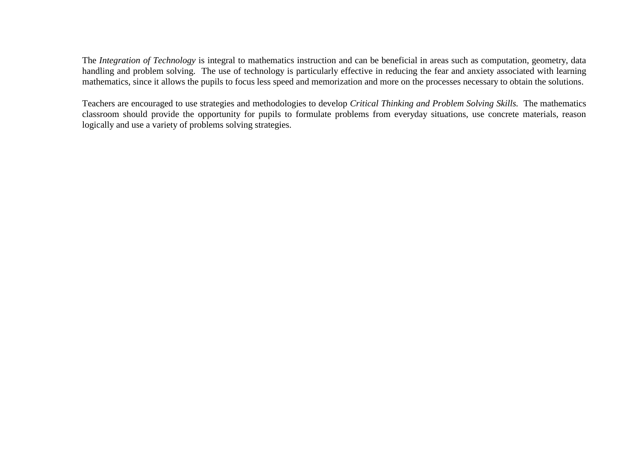The *Integration of Technology* is integral to mathematics instruction and can be beneficial in areas such as computation, geometry, data handling and problem solving. The use of technology is particularly effective in reducing the fear and anxiety associated with learning mathematics, since it allows the pupils to focus less speed and memorization and more on the processes necessary to obtain the solutions.

Teachers are encouraged to use strategies and methodologies to develop *Critical Thinking and Problem Solving Skills.* The mathematics classroom should provide the opportunity for pupils to formulate problems from everyday situations, use concrete materials, reason logically and use a variety of problems solving strategies.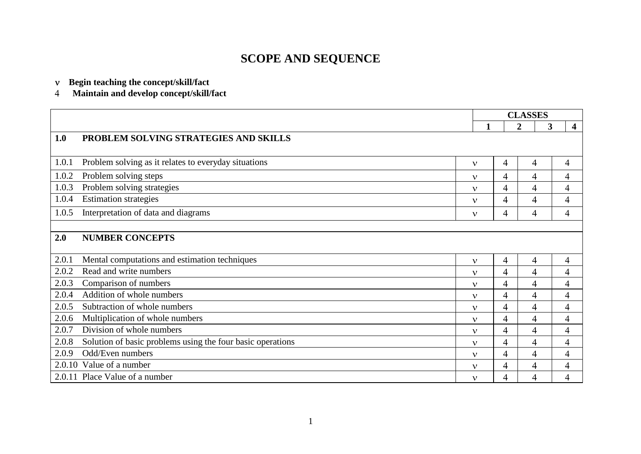# **SCOPE AND SEQUENCE**

- **Begin teaching the concept/skill/fact**
- $\overline{4}$ **Maintain and develop concept/skill/fact**

|        |                                                            |              | <b>CLASSES</b> |              |   |                         |
|--------|------------------------------------------------------------|--------------|----------------|--------------|---|-------------------------|
|        |                                                            | 1            |                | $\mathbf{2}$ | 3 | $\overline{\mathbf{4}}$ |
| 1.0    | PROBLEM SOLVING STRATEGIES AND SKILLS                      |              |                |              |   |                         |
|        |                                                            |              |                |              |   |                         |
| 1.0.1  | Problem solving as it relates to everyday situations       | $\mathbf{v}$ | 4              | 4            |   | 4                       |
| 1.0.2  | Problem solving steps                                      | $\mathbf v$  | $\overline{4}$ | 4            |   | $\overline{4}$          |
| 1.0.3  | Problem solving strategies                                 | $\mathbf{v}$ | 4              | 4            |   | 4                       |
| 1.0.4  | <b>Estimation strategies</b>                               | $\mathbf{v}$ | 4              | 4            |   | $\overline{4}$          |
| 1.0.5  | Interpretation of data and diagrams                        | $\mathbf{v}$ | 4              | 4            |   | $\overline{4}$          |
|        |                                                            |              |                |              |   |                         |
| 2.0    | <b>NUMBER CONCEPTS</b>                                     |              |                |              |   |                         |
|        |                                                            |              |                |              |   |                         |
| 2.0.1  | Mental computations and estimation techniques              | $\mathbf{v}$ | $\overline{4}$ | 4            |   | $\overline{4}$          |
| 2.0.2  | Read and write numbers                                     | $\mathbf v$  | 4              | 4            |   | 4                       |
| 2.0.3  | Comparison of numbers                                      | $\mathbf{v}$ | 4              | 4            |   | 4                       |
| 2.0.4  | Addition of whole numbers                                  | $\mathbf v$  | 4              | 4            |   | 4                       |
| 2.0.5  | Subtraction of whole numbers                               | $\mathbf{v}$ | $\overline{4}$ | 4            |   | $\overline{4}$          |
| 2.0.6  | Multiplication of whole numbers                            | $\mathbf v$  | $\overline{4}$ | 4            |   | $\overline{4}$          |
| 2.0.7  | Division of whole numbers                                  | $\mathbf{v}$ | 4              | 4            |   | 4                       |
| 2.0.8  | Solution of basic problems using the four basic operations | $\mathbf{v}$ | $\overline{4}$ | 4            |   | $\overline{4}$          |
| 2.0.9  | Odd/Even numbers                                           | $\mathbf v$  | $\overline{4}$ | 4            |   | 4                       |
| 2.0.10 | Value of a number                                          | $\mathbf v$  | 4              | 4            |   | $\overline{4}$          |
|        | 2.0.11 Place Value of a number                             | $\mathbf{v}$ | 4              | 4            |   | 4                       |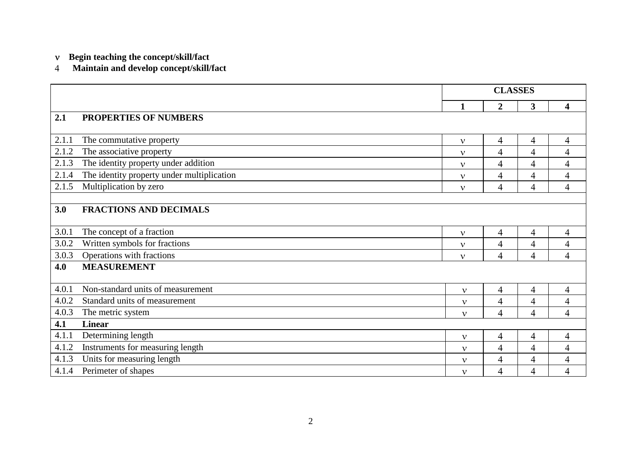- **Begin teaching the concept/skill/fact**
- **Maintain and develop concept/skill/fact**

|       |                                            | <b>CLASSES</b> |                          |                |                          |
|-------|--------------------------------------------|----------------|--------------------------|----------------|--------------------------|
|       |                                            | $\mathbf{1}$   | $\overline{2}$           | $\mathbf{3}$   | $\overline{\mathbf{4}}$  |
| 2.1   | PROPERTIES OF NUMBERS                      |                |                          |                |                          |
| 2.1.1 | The commutative property                   | $\mathbf{v}$   | $\overline{4}$           | 4              | $\overline{4}$           |
| 2.1.2 | The associative property                   | $\mathbf{v}$   | $\overline{4}$           | $\overline{4}$ | $\overline{4}$           |
| 2.1.3 | The identity property under addition       | $\mathbf{v}$   | $\overline{4}$           | $\overline{4}$ | 4                        |
| 2.1.4 | The identity property under multiplication | $\mathbf{v}$   | $\overline{4}$           | 4              | $\overline{4}$           |
| 2.1.5 | Multiplication by zero                     | $\mathbf{v}$   | $\overline{4}$           | 4              | $\overline{4}$           |
|       |                                            |                |                          |                |                          |
| 3.0   | <b>FRACTIONS AND DECIMALS</b>              |                |                          |                |                          |
| 3.0.1 | The concept of a fraction                  | $\mathbf{v}$   | 4                        | $\overline{4}$ | 4                        |
| 3.0.2 | Written symbols for fractions              | $\mathbf{v}$   | $\overline{4}$           | $\overline{4}$ | $\overline{\mathcal{A}}$ |
| 3.0.3 | Operations with fractions                  | $\mathbf{v}$   | $\overline{4}$           | $\overline{4}$ | $\overline{4}$           |
| 4.0   | <b>MEASUREMENT</b>                         |                |                          |                |                          |
| 4.0.1 | Non-standard units of measurement          | $\mathbf{v}$   | $\overline{4}$           | $\overline{4}$ | $\overline{4}$           |
| 4.0.2 | Standard units of measurement              | $\mathbf{v}$   | $\overline{4}$           | $\overline{4}$ | 4                        |
| 4.0.3 | The metric system                          | $\mathbf{v}$   | $\overline{4}$           | $\overline{4}$ | $\overline{4}$           |
| 4.1   | <b>Linear</b>                              |                |                          |                |                          |
| 4.1.1 | Determining length                         | $\mathbf{v}$   | $\overline{4}$           | $\overline{4}$ | $\overline{4}$           |
| 4.1.2 | Instruments for measuring length           | $\mathbf{v}$   | $\overline{4}$           | $\overline{4}$ | $\overline{4}$           |
| 4.1.3 | Units for measuring length                 | $\mathbf{v}$   | $\overline{\mathcal{A}}$ | $\overline{4}$ | $\overline{4}$           |
| 4.1.4 | Perimeter of shapes                        | $\mathbf{v}$   | $\overline{4}$           | 4              | $\overline{4}$           |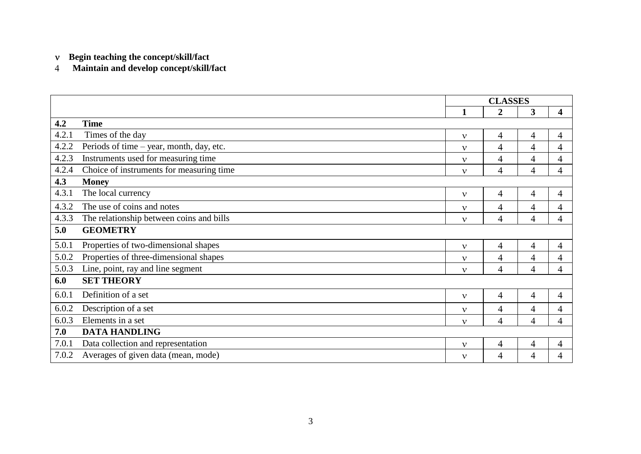**Begin teaching the concept/skill/fact**

**Maintain and develop concept/skill/fact**

|       |                                          | <b>CLASSES</b> |                  |                |                |
|-------|------------------------------------------|----------------|------------------|----------------|----------------|
|       |                                          | 1              | $\boldsymbol{2}$ | 3              | 4              |
| 4.2   | <b>Time</b>                              |                |                  |                |                |
| 4.2.1 | Times of the day                         | $\mathbf{v}$   | $\overline{4}$   | $\overline{4}$ | 4              |
| 4.2.2 | Periods of time - year, month, day, etc. | $\mathbf{v}$   | $\overline{4}$   | $\overline{4}$ | 4              |
| 4.2.3 | Instruments used for measuring time      | $\mathbf{v}$   | $\overline{4}$   | $\overline{4}$ | 4              |
| 4.2.4 | Choice of instruments for measuring time | $\mathbf{v}$   | $\overline{4}$   | 4              | 4              |
| 4.3   | <b>Money</b>                             |                |                  |                |                |
| 4.3.1 | The local currency                       | $\mathbf{v}$   | 4                | 4              | 4              |
| 4.3.2 | The use of coins and notes               | $\mathbf{v}$   | 4                | 4              | 4              |
| 4.3.3 | The relationship between coins and bills | $\mathbf{v}$   | $\overline{4}$   | 4              | 4              |
| 5.0   | <b>GEOMETRY</b>                          |                |                  |                |                |
| 5.0.1 | Properties of two-dimensional shapes     | $\mathbf{v}$   | 4                | 4              | 4              |
| 5.0.2 | Properties of three-dimensional shapes   | $\mathbf{v}$   | $\overline{4}$   | 4              | 4              |
| 5.0.3 | Line, point, ray and line segment        | $\mathbf{v}$   | $\overline{4}$   | 4              | 4              |
| 6.0   | <b>SET THEORY</b>                        |                |                  |                |                |
| 6.0.1 | Definition of a set                      | $\mathbf{v}$   | $\overline{4}$   | $\overline{4}$ | $\overline{4}$ |
| 6.0.2 | Description of a set                     | $\mathbf{v}$   | $\overline{4}$   | 4              | 4              |
| 6.0.3 | Elements in a set                        | $\mathbf{v}$   | $\overline{4}$   | $\overline{4}$ | 4              |
| 7.0   | <b>DATA HANDLING</b>                     |                |                  |                |                |
| 7.0.1 | Data collection and representation       | $\mathbf{v}$   | $\overline{4}$   | $\overline{4}$ | 4              |
| 7.0.2 | Averages of given data (mean, mode)      | $\mathbf{v}$   | 4                | 4              | 4              |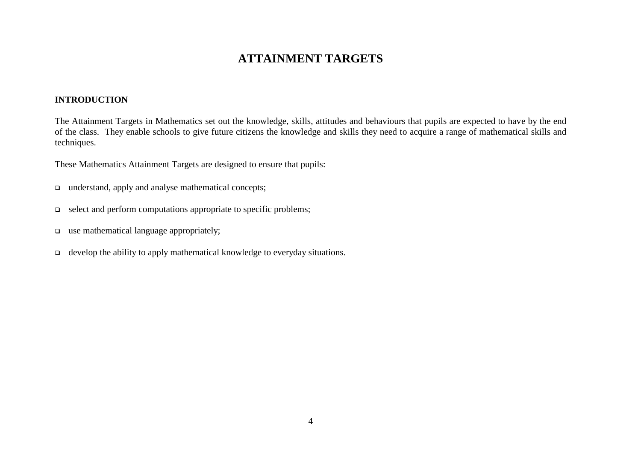# **ATTAINMENT TARGETS**

## **INTRODUCTION**

The Attainment Targets in Mathematics set out the knowledge, skills, attitudes and behaviours that pupils are expected to have by the end of the class. They enable schools to give future citizens the knowledge and skills they need to acquire a range of mathematical skills and techniques.

These Mathematics Attainment Targets are designed to ensure that pupils:

- understand, apply and analyse mathematical concepts;
- $\Box$  select and perform computations appropriate to specific problems;
- use mathematical language appropriately;
- $\Box$  develop the ability to apply mathematical knowledge to everyday situations.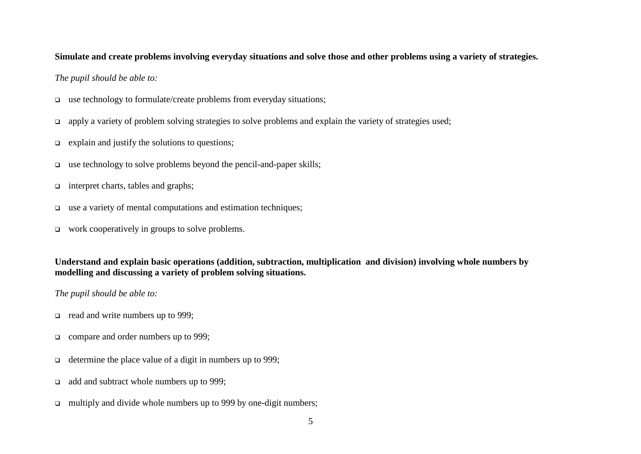#### **Simulate and create problems involving everyday situations and solve those and other problems using a variety of strategies.**

#### *The pupil should be able to:*

- $\Box$  use technology to formulate/create problems from everyday situations;
- apply a variety of problem solving strategies to solve problems and explain the variety of strategies used;
- $\Box$  explain and justify the solutions to questions;
- $\Box$  use technology to solve problems beyond the pencil-and-paper skills;
- $\Box$  interpret charts, tables and graphs;
- $\Box$  use a variety of mental computations and estimation techniques;
- □ work cooperatively in groups to solve problems.

**Understand and explain basic operations (addition, subtraction, multiplication and division) involving whole numbers by modelling and discussing a variety of problem solving situations.**

- read and write numbers up to 999;
- □ compare and order numbers up to 999;
- determine the place value of a digit in numbers up to 999;
- add and subtract whole numbers up to 999;
- multiply and divide whole numbers up to 999 by one-digit numbers;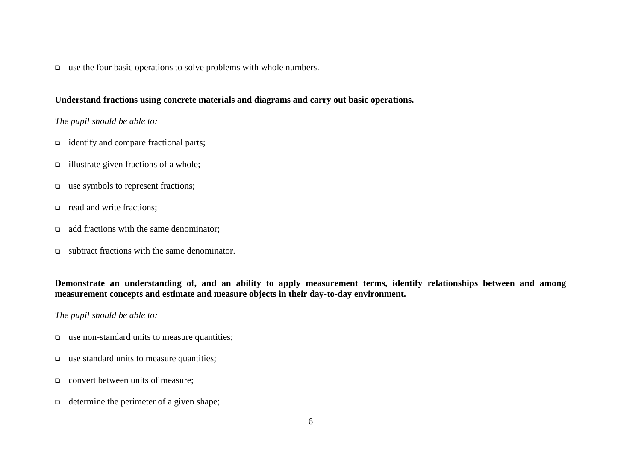$\Box$  use the four basic operations to solve problems with whole numbers.

#### **Understand fractions using concrete materials and diagrams and carry out basic operations.**

## *The pupil should be able to:*

- □ identify and compare fractional parts;
- $\Box$  illustrate given fractions of a whole;
- □ use symbols to represent fractions;
- read and write fractions;
- $\Box$  add fractions with the same denominator:
- $\Box$  subtract fractions with the same denominator.

**Demonstrate an understanding of, and an ability to apply measurement terms, identify relationships between and among measurement concepts and estimate and measure objects in their day-to-day environment.**

- □ use non-standard units to measure quantities;
- $\Box$  use standard units to measure quantities;
- **convert between units of measure;**
- $\Box$  determine the perimeter of a given shape;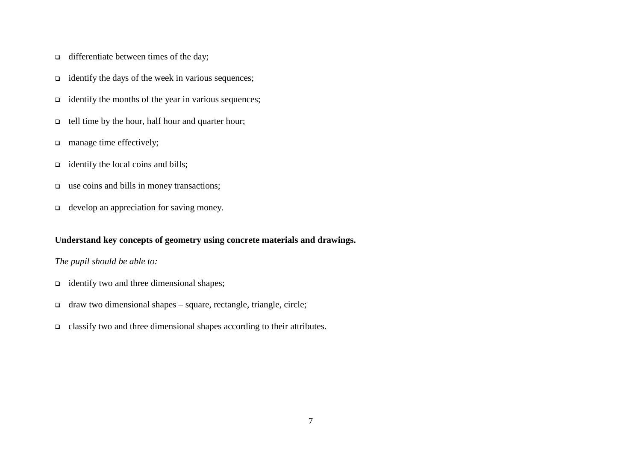- $\Box$  differentiate between times of the day;
- $\Box$  identify the days of the week in various sequences;
- $\Box$  identify the months of the year in various sequences;
- $\Box$  tell time by the hour, half hour and quarter hour;
- manage time effectively;
- $\Box$  identify the local coins and bills;
- use coins and bills in money transactions;
- $\Box$  develop an appreciation for saving money.

## **Understand key concepts of geometry using concrete materials and drawings.**

- identify two and three dimensional shapes;
- $\Box$  draw two dimensional shapes square, rectangle, triangle, circle;
- classify two and three dimensional shapes according to their attributes.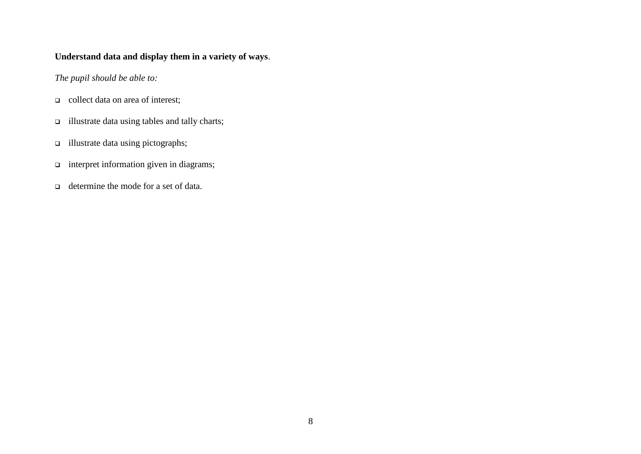## **Understand data and display them in a variety of ways**.

- $\Box$  collect data on area of interest;
- illustrate data using tables and tally charts;
- illustrate data using pictographs;
- interpret information given in diagrams;
- determine the mode for a set of data.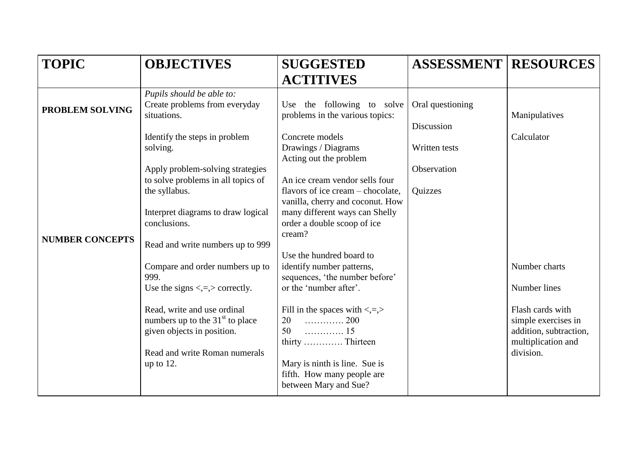| <b>TOPIC</b>           | <b>OBJECTIVES</b>                                                                              | <b>SUGGESTED</b>                                                                                            | <b>ASSESSMENT   RESOURCES</b>  |                                                                                         |
|------------------------|------------------------------------------------------------------------------------------------|-------------------------------------------------------------------------------------------------------------|--------------------------------|-----------------------------------------------------------------------------------------|
|                        |                                                                                                | <b>ACTITIVES</b>                                                                                            |                                |                                                                                         |
| <b>PROBLEM SOLVING</b> | Pupils should be able to:<br>Create problems from everyday<br>situations.                      | Use the following to solve<br>problems in the various topics:                                               | Oral questioning<br>Discussion | Manipulatives                                                                           |
|                        | Identify the steps in problem<br>solving.                                                      | Concrete models<br>Drawings / Diagrams<br>Acting out the problem                                            | Written tests                  | Calculator                                                                              |
|                        | Apply problem-solving strategies<br>to solve problems in all topics of<br>the syllabus.        | An ice cream vendor sells four<br>flavors of ice cream – chocolate,                                         | Observation<br>Quizzes         |                                                                                         |
| <b>NUMBER CONCEPTS</b> | Interpret diagrams to draw logical<br>conclusions.                                             | vanilla, cherry and coconut. How<br>many different ways can Shelly<br>order a double scoop of ice<br>cream? |                                |                                                                                         |
|                        | Read and write numbers up to 999<br>Compare and order numbers up to                            | Use the hundred board to<br>identify number patterns,                                                       |                                | Number charts                                                                           |
|                        | 999.<br>Use the signs $\langle 1, 1 \rangle$ correctly.                                        | sequences, 'the number before'<br>or the 'number after'.                                                    |                                | Number lines                                                                            |
|                        | Read, write and use ordinal<br>numbers up to the $31st$ to place<br>given objects in position. | Fill in the spaces with $\lt, =$ , $>$<br>$\ldots \ldots \ldots \ldots 200$<br>20<br>50                     |                                | Flash cards with<br>simple exercises in<br>addition, subtraction,<br>multiplication and |
|                        | Read and write Roman numerals<br>up to $12$ .                                                  | Mary is ninth is line. Sue is<br>fifth. How many people are<br>between Mary and Sue?                        |                                | division.                                                                               |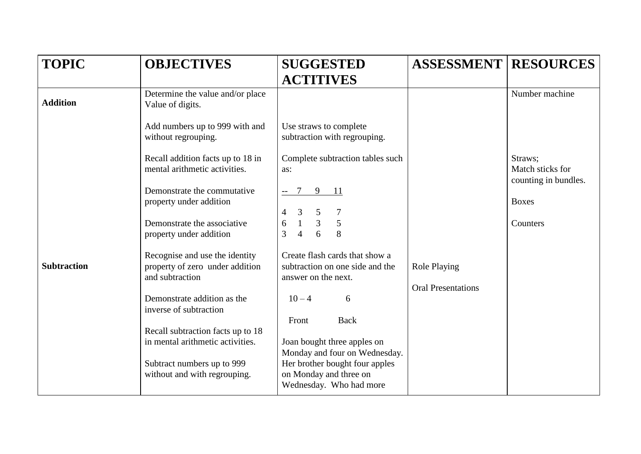| <b>TOPIC</b>       | <b>OBJECTIVES</b>                                                                                                                                                                                                                                                                                                                                                                                                                                                                                     | <b>SUGGESTED</b>                                                                                                                                                                                                                                                                                                                                                                                                                                                                                                                                 | <b>ASSESSMENT</b>                                | <b>RESOURCES</b>                                                                |
|--------------------|-------------------------------------------------------------------------------------------------------------------------------------------------------------------------------------------------------------------------------------------------------------------------------------------------------------------------------------------------------------------------------------------------------------------------------------------------------------------------------------------------------|--------------------------------------------------------------------------------------------------------------------------------------------------------------------------------------------------------------------------------------------------------------------------------------------------------------------------------------------------------------------------------------------------------------------------------------------------------------------------------------------------------------------------------------------------|--------------------------------------------------|---------------------------------------------------------------------------------|
| <b>Addition</b>    | Determine the value and/or place<br>Value of digits.<br>Add numbers up to 999 with and                                                                                                                                                                                                                                                                                                                                                                                                                | <b>ACTITIVES</b><br>Use straws to complete                                                                                                                                                                                                                                                                                                                                                                                                                                                                                                       |                                                  | Number machine                                                                  |
| <b>Subtraction</b> | without regrouping.<br>Recall addition facts up to 18 in<br>mental arithmetic activities.<br>Demonstrate the commutative<br>property under addition<br>Demonstrate the associative<br>property under addition<br>Recognise and use the identity<br>property of zero under addition<br>and subtraction<br>Demonstrate addition as the<br>inverse of subtraction<br>Recall subtraction facts up to 18<br>in mental arithmetic activities.<br>Subtract numbers up to 999<br>without and with regrouping. | subtraction with regrouping.<br>Complete subtraction tables such<br>as:<br>9 11<br>$7\phantom{.0}$<br>$\mathfrak{Z}$<br>$\overline{4}$<br>$\mathfrak{S}$<br>$\overline{7}$<br>$\overline{3}$<br>5<br>$\overline{1}$<br>6<br>$\overline{4}$<br>8<br>3<br>Create flash cards that show a<br>subtraction on one side and the<br>answer on the next.<br>$10 - 4$<br>6<br><b>Back</b><br>Front<br>Joan bought three apples on<br>Monday and four on Wednesday.<br>Her brother bought four apples<br>on Monday and three on<br>Wednesday. Who had more | <b>Role Playing</b><br><b>Oral Presentations</b> | Straws;<br>Match sticks for<br>counting in bundles.<br><b>Boxes</b><br>Counters |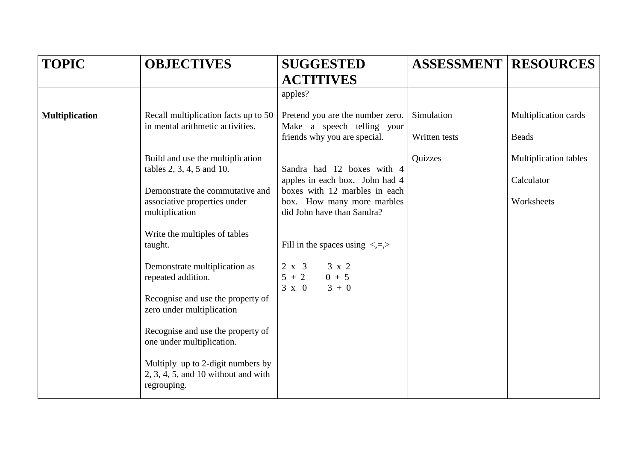| <b>TOPIC</b>          | <b>OBJECTIVES</b>                                                                         | <b>SUGGESTED</b>                                                              | <b>ASSESSMENT RESOURCES</b> |                              |
|-----------------------|-------------------------------------------------------------------------------------------|-------------------------------------------------------------------------------|-----------------------------|------------------------------|
|                       |                                                                                           | <b>ACTITIVES</b>                                                              |                             |                              |
|                       |                                                                                           | apples?                                                                       |                             |                              |
| <b>Multiplication</b> | Recall multiplication facts up to 50<br>in mental arithmetic activities.                  | Pretend you are the number zero.<br>Make a speech telling your                | Simulation                  | Multiplication cards         |
|                       |                                                                                           | friends why you are special.                                                  | Written tests               | <b>Beads</b>                 |
|                       | Build and use the multiplication<br>tables 2, 3, 4, 5 and 10.                             | Sandra had 12 boxes with 4                                                    | Quizzes                     | <b>Multiplication tables</b> |
|                       | Demonstrate the commutative and                                                           | apples in each box. John had 4<br>boxes with 12 marbles in each               |                             | Calculator                   |
|                       | associative properties under<br>multiplication                                            | box. How many more marbles<br>did John have than Sandra?                      |                             | Worksheets                   |
|                       | Write the multiples of tables<br>taught.                                                  | Fill in the spaces using $\langle 1, 2 \rangle$                               |                             |                              |
|                       | Demonstrate multiplication as<br>repeated addition.                                       | $2 \times 3$<br>$3 \times 2$<br>$5 + 2$<br>$0 + 5$<br>$3 \times 0$<br>$3 + 0$ |                             |                              |
|                       | Recognise and use the property of<br>zero under multiplication                            |                                                                               |                             |                              |
|                       | Recognise and use the property of<br>one under multiplication.                            |                                                                               |                             |                              |
|                       | Multiply up to 2-digit numbers by<br>$2, 3, 4, 5,$ and 10 without and with<br>regrouping. |                                                                               |                             |                              |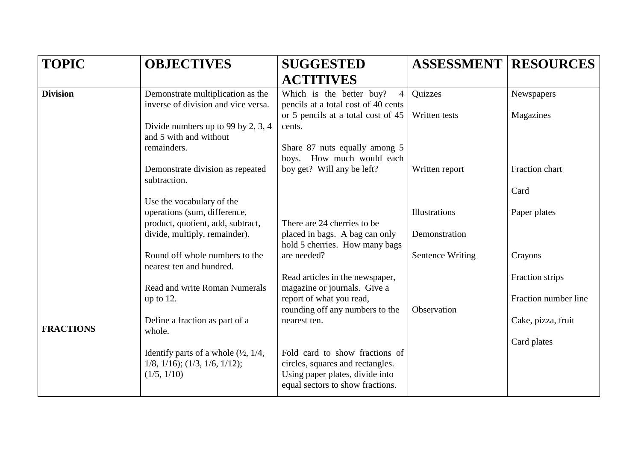| <b>TOPIC</b>     | <b>OBJECTIVES</b>                                                                                     | <b>SUGGESTED</b>                                                                                        | <b>ASSESSMENT</b>       | <b>RESOURCES</b>     |
|------------------|-------------------------------------------------------------------------------------------------------|---------------------------------------------------------------------------------------------------------|-------------------------|----------------------|
|                  |                                                                                                       | <b>ACTITIVES</b>                                                                                        |                         |                      |
| <b>Division</b>  | Demonstrate multiplication as the<br>inverse of division and vice versa.                              | Which is the better buy?<br>$\overline{4}$<br>pencils at a total cost of 40 cents                       | Quizzes                 | Newspapers           |
|                  | Divide numbers up to 99 by 2, 3, 4<br>and 5 with and without                                          | or 5 pencils at a total cost of 45<br>cents.                                                            | Written tests           | Magazines            |
|                  | remainders.                                                                                           | Share 87 nuts equally among 5<br>boys. How much would each                                              |                         |                      |
|                  | Demonstrate division as repeated<br>subtraction.                                                      | boy get? Will any be left?                                                                              | Written report          | Fraction chart       |
|                  | Use the vocabulary of the                                                                             |                                                                                                         |                         |                      |
|                  | operations (sum, difference,<br>product, quotient, add, subtract,                                     | There are 24 cherries to be                                                                             |                         | Paper plates         |
|                  | divide, multiply, remainder).                                                                         | placed in bags. A bag can only<br>hold 5 cherries. How many bags                                        | Demonstration           |                      |
|                  | nearest ten and hundred.                                                                              | are needed?                                                                                             | <b>Sentence Writing</b> | Crayons              |
|                  | <b>Read and write Roman Numerals</b>                                                                  | Read articles in the newspaper,<br>magazine or journals. Give a                                         |                         | Fraction strips      |
|                  | up to $12$ .                                                                                          | report of what you read,<br>rounding off any numbers to the                                             | Observation             | Fraction number line |
| <b>FRACTIONS</b> | Define a fraction as part of a<br>whole.                                                              | nearest ten.                                                                                            |                         | Cake, pizza, fruit   |
|                  |                                                                                                       |                                                                                                         |                         | Card plates          |
|                  | $1/8$ , $1/16$ ); $(1/3, 1/6, 1/12)$ ;<br>(1/5, 1/10)                                                 | circles, squares and rectangles.<br>Using paper plates, divide into<br>equal sectors to show fractions. |                         |                      |
|                  | Round off whole numbers to the<br>Identify parts of a whole $(\frac{1}{2}, \frac{1}{4}, \frac{1}{4})$ | Fold card to show fractions of                                                                          | Illustrations           | Card                 |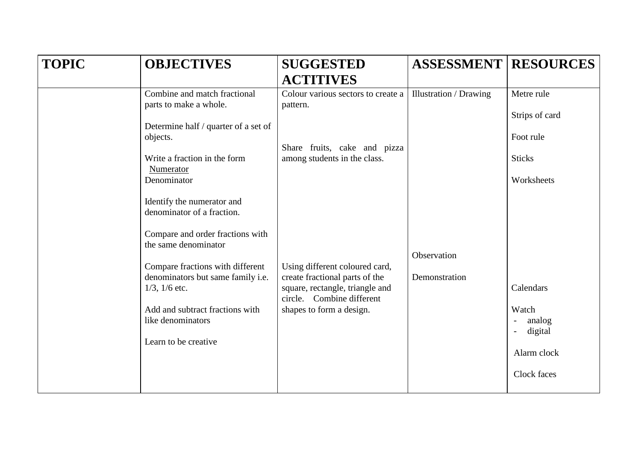| <b>TOPIC</b> | <b>OBJECTIVES</b>                                        | <b>SUGGESTED</b>                                                                               | <b>ASSESSMENT</b>             | <b>RESOURCES</b>                            |
|--------------|----------------------------------------------------------|------------------------------------------------------------------------------------------------|-------------------------------|---------------------------------------------|
|              |                                                          | <b>ACTITIVES</b>                                                                               |                               |                                             |
|              | Combine and match fractional<br>parts to make a whole.   | Colour various sectors to create a<br>pattern.                                                 | <b>Illustration / Drawing</b> | Metre rule                                  |
|              | Determine half / quarter of a set of                     |                                                                                                |                               | Strips of card                              |
|              | objects.                                                 | Share fruits, cake and pizza                                                                   |                               | Foot rule                                   |
|              | Write a fraction in the form<br>Numerator                | among students in the class.                                                                   |                               | <b>Sticks</b>                               |
|              | Denominator                                              |                                                                                                |                               | Worksheets                                  |
|              | Identify the numerator and<br>denominator of a fraction. |                                                                                                |                               |                                             |
|              | Compare and order fractions with<br>the same denominator |                                                                                                | Observation                   |                                             |
|              | Compare fractions with different                         | Using different coloured card,                                                                 |                               |                                             |
|              | denominators but same family i.e.<br>$1/3$ , $1/6$ etc.  | create fractional parts of the<br>square, rectangle, triangle and<br>circle. Combine different | Demonstration                 | Calendars                                   |
|              | Add and subtract fractions with<br>like denominators     | shapes to form a design.                                                                       |                               | Watch<br>analog<br>$\overline{\phantom{a}}$ |
|              | Learn to be creative                                     |                                                                                                |                               | digital<br>$\overline{\phantom{a}}$         |
|              |                                                          |                                                                                                |                               | Alarm clock                                 |
|              |                                                          |                                                                                                |                               | Clock faces                                 |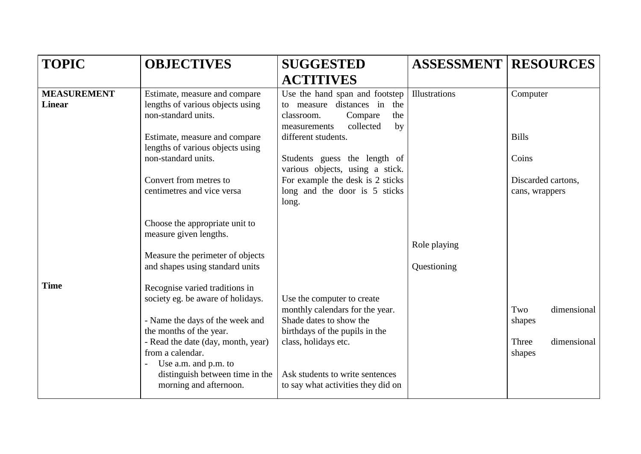| <b>TOPIC</b>                        | <b>OBJECTIVES</b>                                                                                                                                                                                                                                                                | <b>SUGGESTED</b>                                                                                                                                                                                                            | <b>ASSESSMENT</b>           | <b>RESOURCES</b>                                               |
|-------------------------------------|----------------------------------------------------------------------------------------------------------------------------------------------------------------------------------------------------------------------------------------------------------------------------------|-----------------------------------------------------------------------------------------------------------------------------------------------------------------------------------------------------------------------------|-----------------------------|----------------------------------------------------------------|
|                                     |                                                                                                                                                                                                                                                                                  | <b>ACTITIVES</b>                                                                                                                                                                                                            |                             |                                                                |
| <b>MEASUREMENT</b><br><b>Linear</b> | Estimate, measure and compare<br>lengths of various objects using<br>non-standard units.                                                                                                                                                                                         | Use the hand span and footstep<br>to measure distances in<br>the<br>Compare<br>the<br>classroom.<br>collected<br>by<br>measurements                                                                                         | Illustrations               | Computer                                                       |
|                                     | Estimate, measure and compare<br>lengths of various objects using<br>non-standard units.                                                                                                                                                                                         | different students.<br>Students guess the length of<br>various objects, using a stick.                                                                                                                                      |                             | <b>Bills</b><br>Coins                                          |
|                                     | Convert from metres to<br>centimetres and vice versa                                                                                                                                                                                                                             | For example the desk is 2 sticks<br>long and the door is 5 sticks<br>long.                                                                                                                                                  |                             | Discarded cartons,<br>cans, wrappers                           |
|                                     | Choose the appropriate unit to<br>measure given lengths.<br>Measure the perimeter of objects<br>and shapes using standard units                                                                                                                                                  |                                                                                                                                                                                                                             | Role playing<br>Questioning |                                                                |
| <b>Time</b>                         | Recognise varied traditions in<br>society eg. be aware of holidays.<br>- Name the days of the week and<br>the months of the year.<br>- Read the date (day, month, year)<br>from a calendar.<br>Use a.m. and p.m. to<br>distinguish between time in the<br>morning and afternoon. | Use the computer to create<br>monthly calendars for the year.<br>Shade dates to show the<br>birthdays of the pupils in the<br>class, holidays etc.<br>Ask students to write sentences<br>to say what activities they did on |                             | dimensional<br>Two<br>shapes<br>Three<br>dimensional<br>shapes |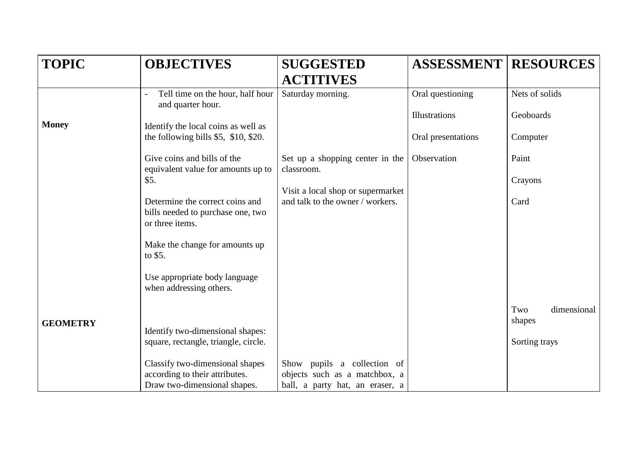| <b>TOPIC</b>    | <b>OBJECTIVES</b>                                                           | <b>SUGGESTED</b>                                                      | <b>ASSESSMENT</b>  | <b>RESOURCES</b>             |
|-----------------|-----------------------------------------------------------------------------|-----------------------------------------------------------------------|--------------------|------------------------------|
|                 |                                                                             | <b>ACTITIVES</b>                                                      |                    |                              |
|                 | Tell time on the hour, half hour<br>and quarter hour.                       | Saturday morning.                                                     | Oral questioning   | Nets of solids               |
| <b>Money</b>    |                                                                             |                                                                       | Illustrations      | Geoboards                    |
|                 | Identify the local coins as well as<br>the following bills \$5, \$10, \$20. |                                                                       | Oral presentations | Computer                     |
|                 | Give coins and bills of the                                                 | Set up a shopping center in the                                       | Observation        | Paint                        |
|                 | equivalent value for amounts up to                                          | classroom.                                                            |                    |                              |
|                 | \$5.                                                                        |                                                                       |                    | Crayons                      |
|                 | Determine the correct coins and<br>bills needed to purchase one, two        | Visit a local shop or supermarket<br>and talk to the owner / workers. |                    | Card                         |
|                 | or three items.                                                             |                                                                       |                    |                              |
|                 | Make the change for amounts up<br>to \$5.                                   |                                                                       |                    |                              |
|                 | Use appropriate body language<br>when addressing others.                    |                                                                       |                    |                              |
| <b>GEOMETRY</b> |                                                                             |                                                                       |                    | Two<br>dimensional<br>shapes |
|                 | Identify two-dimensional shapes:                                            |                                                                       |                    |                              |
|                 | square, rectangle, triangle, circle.                                        |                                                                       |                    | Sorting trays                |
|                 | Classify two-dimensional shapes                                             | Show pupils a collection of                                           |                    |                              |
|                 | according to their attributes.                                              | objects such as a matchbox, a                                         |                    |                              |
|                 | Draw two-dimensional shapes.                                                | ball, a party hat, an eraser, a                                       |                    |                              |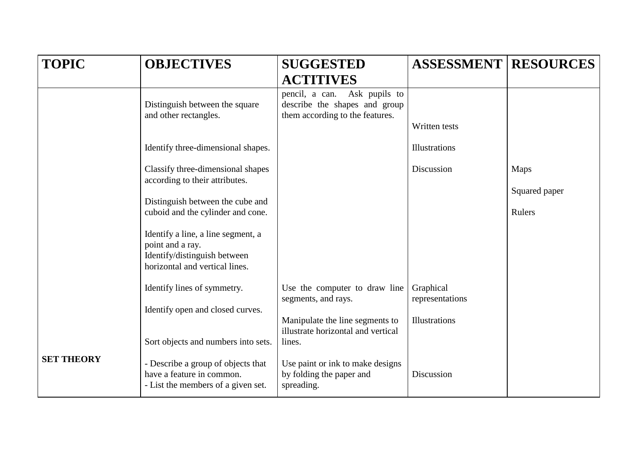| <b>TOPIC</b>      | <b>OBJECTIVES</b>                                                                                                        | <b>SUGGESTED</b>                                                                                 | <b>ASSESSMENT</b>            | <b>RESOURCES</b>        |
|-------------------|--------------------------------------------------------------------------------------------------------------------------|--------------------------------------------------------------------------------------------------|------------------------------|-------------------------|
|                   |                                                                                                                          | <b>ACTITIVES</b>                                                                                 |                              |                         |
|                   | Distinguish between the square<br>and other rectangles.                                                                  | pencil, a can. Ask pupils to<br>describe the shapes and group<br>them according to the features. | Written tests                |                         |
|                   | Identify three-dimensional shapes.                                                                                       |                                                                                                  | Illustrations                |                         |
|                   | Classify three-dimensional shapes<br>according to their attributes.                                                      |                                                                                                  | Discussion                   | <b>Maps</b>             |
|                   | Distinguish between the cube and<br>cuboid and the cylinder and cone.                                                    |                                                                                                  |                              | Squared paper<br>Rulers |
|                   | Identify a line, a line segment, a<br>point and a ray.<br>Identify/distinguish between<br>horizontal and vertical lines. |                                                                                                  |                              |                         |
|                   | Identify lines of symmetry.                                                                                              | Use the computer to draw line<br>segments, and rays.                                             | Graphical<br>representations |                         |
|                   | Identify open and closed curves.                                                                                         | Manipulate the line segments to<br>illustrate horizontal and vertical                            | Illustrations                |                         |
|                   | Sort objects and numbers into sets.                                                                                      | lines.                                                                                           |                              |                         |
| <b>SET THEORY</b> | - Describe a group of objects that<br>have a feature in common.<br>- List the members of a given set.                    | Use paint or ink to make designs<br>by folding the paper and<br>spreading.                       | Discussion                   |                         |